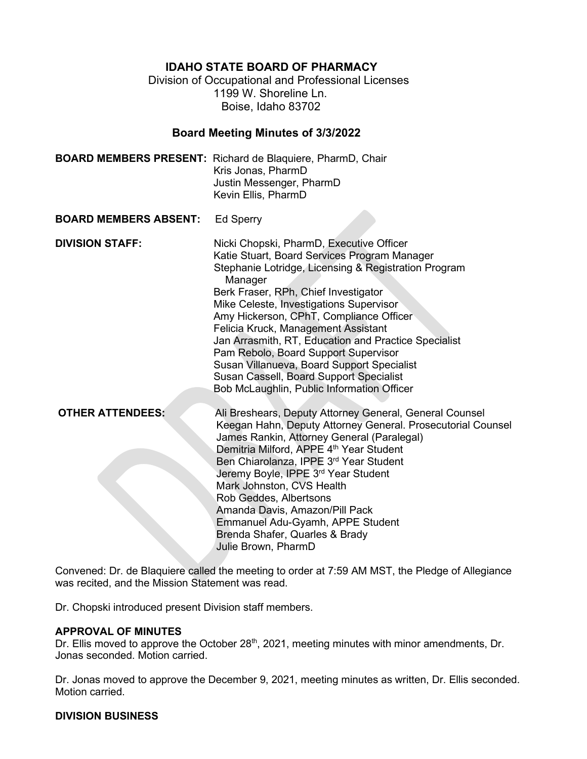**IDAHO STATE BOARD OF PHARMACY**

Division of Occupational and Professional Licenses 1199 W. Shoreline Ln. Boise, Idaho 83702

## **Board Meeting Minutes of 3/3/2022**

|                              | <b>BOARD MEMBERS PRESENT:</b> Richard de Blaquiere, PharmD, Chair<br>Kris Jonas, PharmD<br>Justin Messenger, PharmD<br>Kevin Ellis, PharmD                                                                                                                                                                                                                                                                                                                                                                                                                              |
|------------------------------|-------------------------------------------------------------------------------------------------------------------------------------------------------------------------------------------------------------------------------------------------------------------------------------------------------------------------------------------------------------------------------------------------------------------------------------------------------------------------------------------------------------------------------------------------------------------------|
| <b>BOARD MEMBERS ABSENT:</b> | <b>Ed Sperry</b>                                                                                                                                                                                                                                                                                                                                                                                                                                                                                                                                                        |
| <b>DIVISION STAFF:</b>       | Nicki Chopski, PharmD, Executive Officer<br>Katie Stuart, Board Services Program Manager<br>Stephanie Lotridge, Licensing & Registration Program<br>Manager<br>Berk Fraser, RPh, Chief Investigator<br>Mike Celeste, Investigations Supervisor<br>Amy Hickerson, CPhT, Compliance Officer<br>Felicia Kruck, Management Assistant<br>Jan Arrasmith, RT, Education and Practice Specialist<br>Pam Rebolo, Board Support Supervisor<br>Susan Villanueva, Board Support Specialist<br>Susan Cassell, Board Support Specialist<br>Bob McLaughlin, Public Information Officer |
| <b>OTHER ATTENDEES:</b>      | Ali Breshears, Deputy Attorney General, General Counsel<br>Keegan Hahn, Deputy Attorney General. Prosecutorial Counsel<br>James Rankin, Attorney General (Paralegal)<br>Demitria Milford, APPE 4 <sup>th</sup> Year Student<br>Ben Chiarolanza, IPPE 3rd Year Student<br>Jeremy Boyle, IPPE 3 <sup>rd</sup> Year Student<br>Mark Johnston, CVS Health<br>Rob Geddes, Albertsons<br>Amanda Davis, Amazon/Pill Pack<br>Emmanuel Adu-Gyamh, APPE Student<br>Brenda Shafer, Quarles & Brady<br>Julie Brown, PharmD                                                          |

Convened: Dr. de Blaquiere called the meeting to order at 7:59 AM MST, the Pledge of Allegiance was recited, and the Mission Statement was read.

Dr. Chopski introduced present Division staff members.

## **APPROVAL OF MINUTES**

Dr. Ellis moved to approve the October 28<sup>th</sup>, 2021, meeting minutes with minor amendments, Dr. Jonas seconded. Motion carried.

Dr. Jonas moved to approve the December 9, 2021, meeting minutes as written, Dr. Ellis seconded. Motion carried.

## **DIVISION BUSINESS**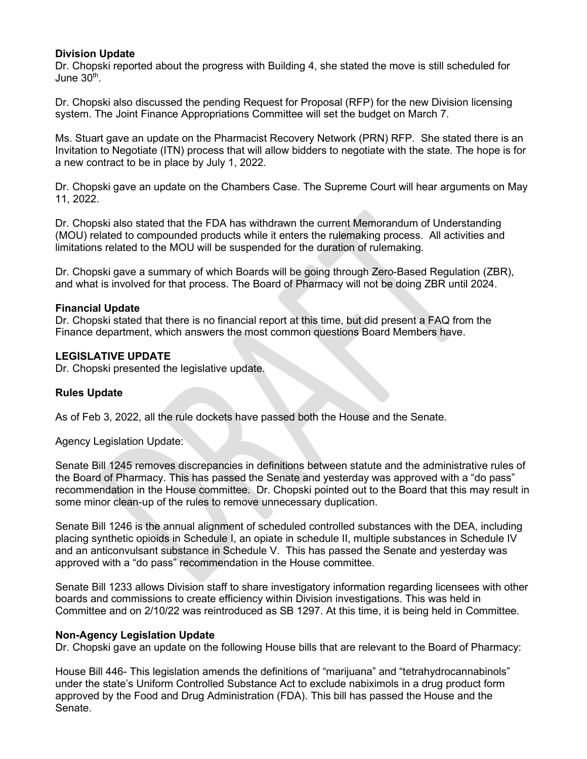# **Division Update**

Dr. Chopski reported about the progress with Building 4, she stated the move is still scheduled for June  $30<sup>th</sup>$ 

Dr. Chopski also discussed the pending Request for Proposal (RFP) for the new Division licensing system. The Joint Finance Appropriations Committee will set the budget on March 7.

Ms. Stuart gave an update on the Pharmacist Recovery Network (PRN) RFP. She stated there is an Invitation to Negotiate (ITN) process that will allow bidders to negotiate with the state. The hope is for a new contract to be in place by July 1, 2022.

Dr. Chopski gave an update on the Chambers Case. The Supreme Court will hear arguments on May 11, 2022.

Dr. Chopski also stated that the FDA has withdrawn the current Memorandum of Understanding (MOU) related to compounded products while it enters the rulemaking process. All activities and limitations related to the MOU will be suspended for the duration of rulemaking.

Dr. Chopski gave a summary of which Boards will be going through Zero-Based Regulation (ZBR), and what is involved for that process. The Board of Pharmacy will not be doing ZBR until 2024.

## **Financial Update**

Dr. Chopski stated that there is no financial report at this time, but did present a FAQ from the Finance department, which answers the most common questions Board Members have.

## **LEGISLATIVE UPDATE**

Dr. Chopski presented the legislative update.

# **Rules Update**

As of Feb 3, 2022, all the rule dockets have passed both the House and the Senate.

Agency Legislation Update:

Senate Bill 1245 removes discrepancies in definitions between statute and the administrative rules of the Board of Pharmacy. This has passed the Senate and yesterday was approved with a "do pass" recommendation in the House committee. Dr. Chopski pointed out to the Board that this may result in some minor clean-up of the rules to remove unnecessary duplication.

Senate Bill 1246 is the annual alignment of scheduled controlled substances with the DEA, including placing synthetic opioids in Schedule I, an opiate in schedule II, multiple substances in Schedule IV and an anticonvulsant substance in Schedule V. This has passed the Senate and yesterday was approved with a "do pass" recommendation in the House committee.

Senate Bill 1233 allows Division staff to share investigatory information regarding licensees with other boards and commissions to create efficiency within Division investigations. This was held in Committee and on 2/10/22 was reintroduced as SB 1297. At this time, it is being held in Committee.

## **Non-Agency Legislation Update**

Dr. Chopski gave an update on the following House bills that are relevant to the Board of Pharmacy:

House Bill 446- This legislation amends the definitions of "marijuana" and "tetrahydrocannabinols" under the state's Uniform Controlled Substance Act to exclude nabiximols in a drug product form approved by the Food and Drug Administration (FDA). This bill has passed the House and the Senate.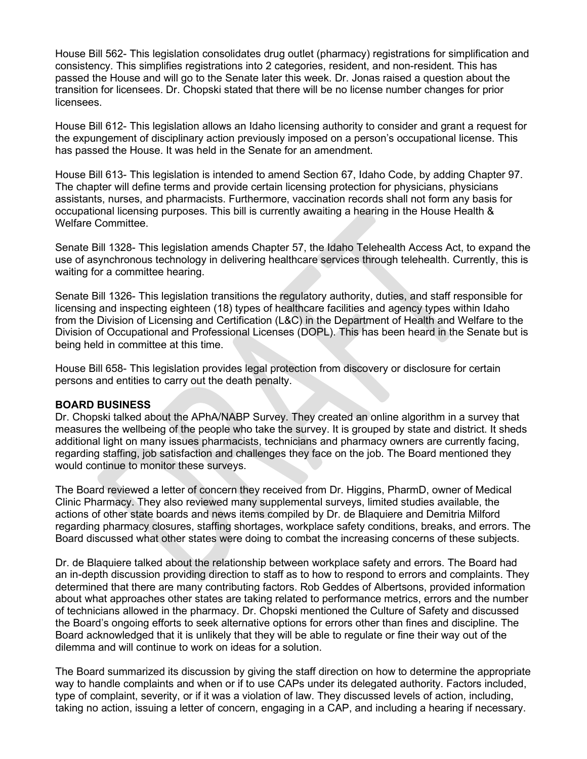House Bill 562- This legislation consolidates drug outlet (pharmacy) registrations for simplification and consistency. This simplifies registrations into 2 categories, resident, and non-resident. This has passed the House and will go to the Senate later this week. Dr. Jonas raised a question about the transition for licensees. Dr. Chopski stated that there will be no license number changes for prior licensees.

House Bill 612- This legislation allows an Idaho licensing authority to consider and grant a request for the expungement of disciplinary action previously imposed on a person's occupational license. This has passed the House. It was held in the Senate for an amendment.

House Bill 613- This legislation is intended to amend Section 67, Idaho Code, by adding Chapter 97. The chapter will define terms and provide certain licensing protection for physicians, physicians assistants, nurses, and pharmacists. Furthermore, vaccination records shall not form any basis for occupational licensing purposes. This bill is currently awaiting a hearing in the House Health & Welfare Committee.

Senate Bill 1328- This legislation amends Chapter 57, the Idaho Telehealth Access Act, to expand the use of asynchronous technology in delivering healthcare services through telehealth. Currently, this is waiting for a committee hearing.

Senate Bill 1326- This legislation transitions the regulatory authority, duties, and staff responsible for licensing and inspecting eighteen (18) types of healthcare facilities and agency types within Idaho from the Division of Licensing and Certification (L&C) in the Department of Health and Welfare to the Division of Occupational and Professional Licenses (DOPL). This has been heard in the Senate but is being held in committee at this time.

House Bill 658- This legislation provides legal protection from discovery or disclosure for certain persons and entities to carry out the death penalty.

## **BOARD BUSINESS**

Dr. Chopski talked about the APhA/NABP Survey. They created an online algorithm in a survey that measures the wellbeing of the people who take the survey. It is grouped by state and district. It sheds additional light on many issues pharmacists, technicians and pharmacy owners are currently facing, regarding staffing, job satisfaction and challenges they face on the job. The Board mentioned they would continue to monitor these surveys.

The Board reviewed a letter of concern they received from Dr. Higgins, PharmD, owner of Medical Clinic Pharmacy. They also reviewed many supplemental surveys, limited studies available, the actions of other state boards and news items compiled by Dr. de Blaquiere and Demitria Milford regarding pharmacy closures, staffing shortages, workplace safety conditions, breaks, and errors. The Board discussed what other states were doing to combat the increasing concerns of these subjects.

Dr. de Blaquiere talked about the relationship between workplace safety and errors. The Board had an in-depth discussion providing direction to staff as to how to respond to errors and complaints. They determined that there are many contributing factors. Rob Geddes of Albertsons, provided information about what approaches other states are taking related to performance metrics, errors and the number of technicians allowed in the pharmacy. Dr. Chopski mentioned the Culture of Safety and discussed the Board's ongoing efforts to seek alternative options for errors other than fines and discipline. The Board acknowledged that it is unlikely that they will be able to regulate or fine their way out of the dilemma and will continue to work on ideas for a solution.

The Board summarized its discussion by giving the staff direction on how to determine the appropriate way to handle complaints and when or if to use CAPs under its delegated authority. Factors included, type of complaint, severity, or if it was a violation of law. They discussed levels of action, including, taking no action, issuing a letter of concern, engaging in a CAP, and including a hearing if necessary.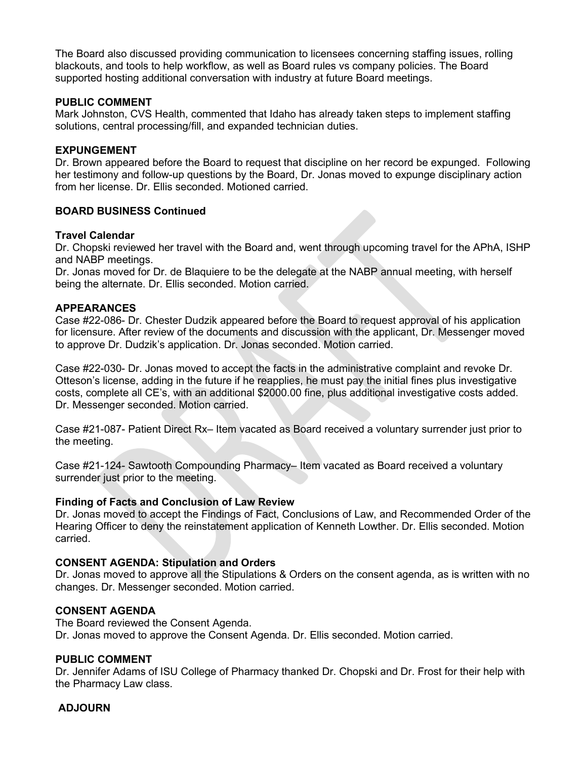The Board also discussed providing communication to licensees concerning staffing issues, rolling blackouts, and tools to help workflow, as well as Board rules vs company policies. The Board supported hosting additional conversation with industry at future Board meetings.

## **PUBLIC COMMENT**

Mark Johnston, CVS Health, commented that Idaho has already taken steps to implement staffing solutions, central processing/fill, and expanded technician duties.

## **EXPUNGEMENT**

Dr. Brown appeared before the Board to request that discipline on her record be expunged. Following her testimony and follow-up questions by the Board, Dr. Jonas moved to expunge disciplinary action from her license. Dr. Ellis seconded. Motioned carried.

## **BOARD BUSINESS Continued**

## **Travel Calendar**

Dr. Chopski reviewed her travel with the Board and, went through upcoming travel for the APhA, ISHP and NABP meetings.

Dr. Jonas moved for Dr. de Blaquiere to be the delegate at the NABP annual meeting, with herself being the alternate. Dr. Ellis seconded. Motion carried.

## **APPEARANCES**

Case #22-086- Dr. Chester Dudzik appeared before the Board to request approval of his application for licensure. After review of the documents and discussion with the applicant, Dr. Messenger moved to approve Dr. Dudzik's application. Dr. Jonas seconded. Motion carried.

Case #22-030- Dr. Jonas moved to accept the facts in the administrative complaint and revoke Dr. Otteson's license, adding in the future if he reapplies, he must pay the initial fines plus investigative costs, complete all CE's, with an additional \$2000.00 fine, plus additional investigative costs added. Dr. Messenger seconded. Motion carried.

Case #21-087- Patient Direct Rx– Item vacated as Board received a voluntary surrender just prior to the meeting.

Case #21-124- Sawtooth Compounding Pharmacy– Item vacated as Board received a voluntary surrender just prior to the meeting.

## **Finding of Facts and Conclusion of Law Review**

Dr. Jonas moved to accept the Findings of Fact, Conclusions of Law, and Recommended Order of the Hearing Officer to deny the reinstatement application of Kenneth Lowther. Dr. Ellis seconded. Motion carried.

## **CONSENT AGENDA: Stipulation and Orders**

Dr. Jonas moved to approve all the Stipulations & Orders on the consent agenda, as is written with no changes. Dr. Messenger seconded. Motion carried.

## **CONSENT AGENDA**

The Board reviewed the Consent Agenda. Dr. Jonas moved to approve the Consent Agenda. Dr. Ellis seconded. Motion carried.

## **PUBLIC COMMENT**

Dr. Jennifer Adams of ISU College of Pharmacy thanked Dr. Chopski and Dr. Frost for their help with the Pharmacy Law class.

## **ADJOURN**